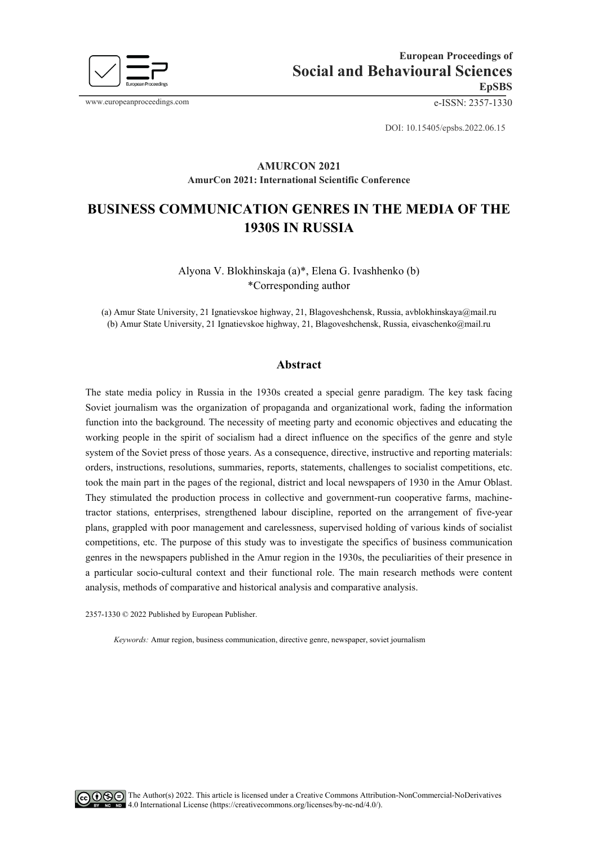

www.europeanproceedings.com e-ISSN: 2357-1330

DOI: 10.15405/epsbs.2022.06.15

## **AMURCON 2021 AmurCon 2021: International Scientific Conference**

# **BUSINESS COMMUNICATION GENRES IN THE MEDIA OF THE 1930S IN RUSSIA**

# Alyona V. Blokhinskaja (a)\*, Elena G. Ivashhenko (b) \*Corresponding author

(a) Amur State University, 21 Ignatievskoe highway, 21, Blagoveshchensk, Russia[, avblokhinskaya@mail.ru](mailto:avblokhinskaya@mail.ru) (b) Amur State University, 21 Ignatievskoe highway, 21, Blagoveshchensk, Russia, [eivaschenko@mail.ru](mailto:eivaschenko@mail.ru)

### **Abstract**

The state media policy in Russia in the 1930s created a special genre paradigm. The key task facing Soviet journalism was the organization of propaganda and organizational work, fading the information function into the background. The necessity of meeting party and economic objectives and educating the working people in the spirit of socialism had a direct influence on the specifics of the genre and style system of the Soviet press of those years. As a consequence, directive, instructive and reporting materials: orders, instructions, resolutions, summaries, reports, statements, challenges to socialist competitions, etc. took the main part in the pages of the regional, district and local newspapers of 1930 in the Amur Oblast. They stimulated the production process in collective and government-run cooperative farms, machinetractor stations, enterprises, strengthened labour discipline, reported on the arrangement of five-year plans, grappled with poor management and carelessness, supervised holding of various kinds of socialist competitions, etc. The purpose of this study was to investigate the specifics of business communication genres in the newspapers published in the Amur region in the 1930s, the peculiarities of their presence in a particular socio-cultural context and their functional role. The main research methods were content analysis, methods of comparative and historical analysis and comparative analysis.

2357-1330 © 2022 Published by European Publisher.

*Keywords:* Amur region, business communication, directive genre, newspaper, soviet journalism

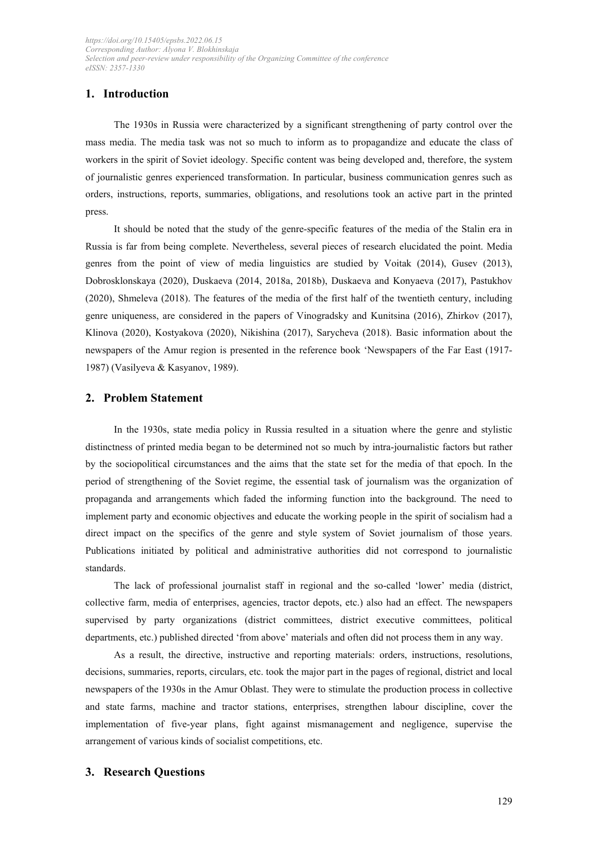# **1. Introduction**

The 1930s in Russia were characterized by a significant strengthening of party control over the mass media. The media task was not so much to inform as to propagandize and educate the class of workers in the spirit of Soviet ideology. Specific content was being developed and, therefore, the system of journalistic genres experienced transformation. In particular, business communication genres such as orders, instructions, reports, summaries, obligations, and resolutions took an active part in the printed press.

It should be noted that the study of the genre-specific features of the media of the Stalin era in Russia is far from being complete. Nevertheless, several pieces of research elucidated the point. Media genres from the point of view of media linguistics are studied by Voitak (2014), Gusev (2013), Dobrosklonskaya (2020), Duskaeva (2014, 2018a, 2018b), Duskaeva and Konyaeva (2017), Pastukhov (2020), Shmeleva (2018). The features of the media of the first half of the twentieth century, including genre uniqueness, are considered in the papers of Vinogradsky and Kunitsina (2016), Zhirkov (2017), Klinova (2020), Kostyakova (2020), Nikishina (2017), Sarycheva (2018). Basic information about the newspapers of the Amur region is presented in the reference book 'Newspapers of the Far East (1917- 1987) (Vasilyeva & Kasyanov, 1989).

### **2. Problem Statement**

In the 1930s, state media policy in Russia resulted in a situation where the genre and stylistic distinctness of printed media began to be determined not so much by intra-journalistic factors but rather by the sociopolitical circumstances and the aims that the state set for the media of that epoch. In the period of strengthening of the Soviet regime, the essential task of journalism was the organization of propaganda and arrangements which faded the informing function into the background. The need to implement party and economic objectives and educate the working people in the spirit of socialism had a direct impact on the specifics of the genre and style system of Soviet journalism of those years. Publications initiated by political and administrative authorities did not correspond to journalistic standards.

The lack of professional journalist staff in regional and the so-called 'lower' media (district, collective farm, media of enterprises, agencies, tractor depots, etc.) also had an effect. The newspapers supervised by party organizations (district committees, district executive committees, political departments, etc.) published directed 'from above' materials and often did not process them in any way.

As a result, the directive, instructive and reporting materials: orders, instructions, resolutions, decisions, summaries, reports, circulars, etc. took the major part in the pages of regional, district and local newspapers of the 1930s in the Amur Oblast. They were to stimulate the production process in collective and state farms, machine and tractor stations, enterprises, strengthen labour discipline, cover the implementation of five-year plans, fight against mismanagement and negligence, supervise the arrangement of various kinds of socialist competitions, etc.

## **3. Research Questions**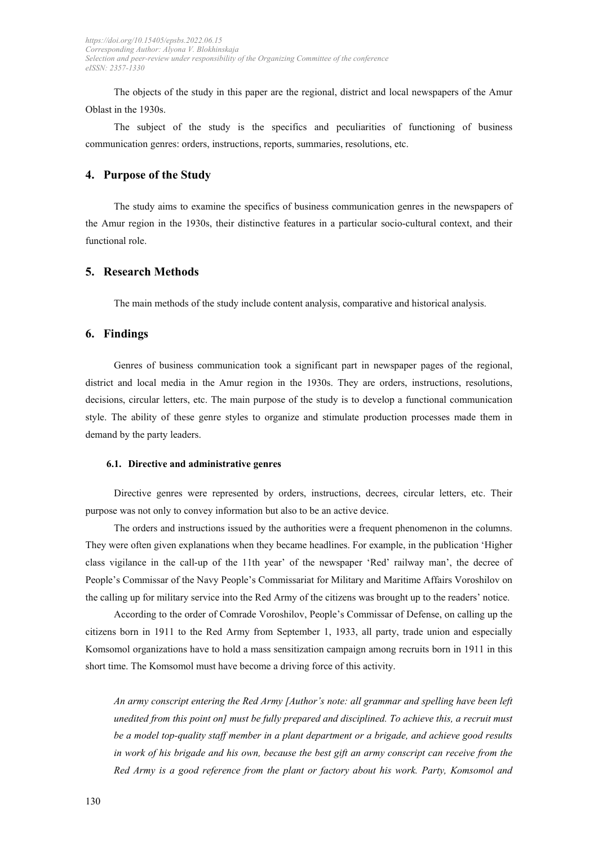The objects of the study in this paper are the regional, district and local newspapers of the Amur Oblast in the 1930s.

The subject of the study is the specifics and peculiarities of functioning of business communication genres: orders, instructions, reports, summaries, resolutions, etc.

## **4. Purpose of the Studу**

The study aims to examine the specifics of business communication genres in the newspapers of the Amur region in the 1930s, their distinctive features in a particular socio-cultural context, and their functional role.

### **5. Research Methods**

The main methods of the study include content analysis, comparative and historical analysis.

#### **6. Findings**

Genres of business communication took a significant part in newspaper pages of the regional, district and local media in the Amur region in the 1930s. They are orders, instructions, resolutions, decisions, circular letters, etc. The main purpose of the study is to develop a functional communication style. The ability of these genre styles to organize and stimulate production processes made them in demand by the party leaders.

#### **6.1. Directive and administrative genres**

Directive genres were represented by orders, instructions, decrees, circular letters, etc. Their purpose was not only to convey information but also to be an active device.

The orders and instructions issued by the authorities were a frequent phenomenon in the columns. They were often given explanations when they became headlines. For example, in the publication 'Higher class vigilance in the call-up of the 11th year' of the newspaper 'Red' railway man', the decree of People's Commissar of the Navy People's Commissariat for Military and Maritime Affairs Voroshilov on the calling up for military service into the Red Army of the citizens was brought up to the readers' notice.

According to the order of Comrade Voroshilov, People's Commissar of Defense, on calling up the citizens born in 1911 to the Red Army from September 1, 1933, all party, trade union and especially Komsomol organizations have to hold a mass sensitization campaign among recruits born in 1911 in this short time. The Komsomol must have become a driving force of this activity.

*An army conscript entering the Red Army [Author's note: all grammar and spelling have been left unedited from this point on] must be fully prepared and disciplined. To achieve this, a recruit must be a model top-quality staff member in a plant department or a brigade, and achieve good results in work of his brigade and his own, because the best gift an army conscript can receive from the Red Army is a good reference from the plant or factory about his work. Party, Komsomol and*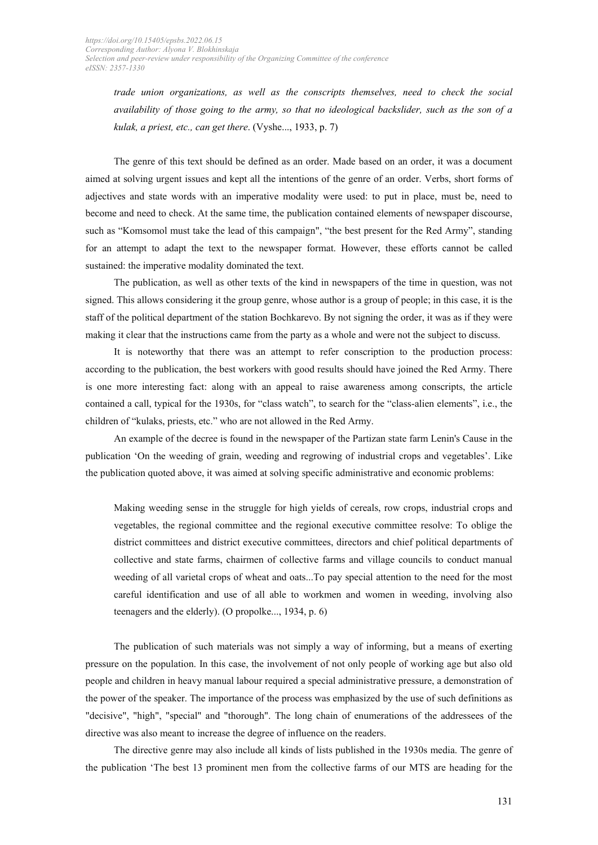*trade union organizations, as well as the conscripts themselves, need to check the social availability of those going to the army, so that no ideological backslider, such as the son of a kulak, a priest, etc., can get there*. (Vyshe..., 1933, p. 7)

The genre of this text should be defined as an order. Made based on an order, it was a document aimed at solving urgent issues and kept all the intentions of the genre of an order. Verbs, short forms of adjectives and state words with an imperative modality were used: to put in place, must be, need to become and need to check. At the same time, the publication contained elements of newspaper discourse, such as "Komsomol must take the lead of this campaign", "the best present for the Red Army", standing for an attempt to adapt the text to the newspaper format. However, these efforts cannot be called sustained: the imperative modality dominated the text.

The publication, as well as other texts of the kind in newspapers of the time in question, was not signed. This allows considering it the group genre, whose author is a group of people; in this case, it is the staff of the political department of the station Bochkarevo. By not signing the order, it was as if they were making it clear that the instructions came from the party as a whole and were not the subject to discuss.

It is noteworthy that there was an attempt to refer conscription to the production process: according to the publication, the best workers with good results should have joined the Red Army. There is one more interesting fact: along with an appeal to raise awareness among conscripts, the article contained a call, typical for the 1930s, for "class watch", to search for the "class-alien elements", i.e., the children of "kulaks, priests, etc." who are not allowed in the Red Army.

An example of the decree is found in the newspaper of the Partizan state farm Lenin's Cause in the publication 'On the weeding of grain, weeding and regrowing of industrial crops and vegetables'. Like the publication quoted above, it was aimed at solving specific administrative and economic problems:

Making weeding sense in the struggle for high yields of cereals, row crops, industrial crops and vegetables, the regional committee and the regional executive committee resolve: To oblige the district committees and district executive committees, directors and chief political departments of collective and state farms, chairmen of collective farms and village councils to conduct manual weeding of all varietal crops of wheat and oats...To pay special attention to the need for the most careful identification and use of all able to workmen and women in weeding, involving also teenagers and the elderly). (O propolke..., 1934, p. 6)

The publication of such materials was not simply a way of informing, but a means of exerting pressure on the population. In this case, the involvement of not only people of working age but also old people and children in heavy manual labour required a special administrative pressure, a demonstration of the power of the speaker. The importance of the process was emphasized by the use of such definitions as "decisive", "high", "special" and "thorough". The long chain of enumerations of the addressees of the directive was also meant to increase the degree of influence on the readers.

The directive genre may also include all kinds of lists published in the 1930s media. The genre of the publication 'The best 13 prominent men from the collective farms of our MTS are heading for the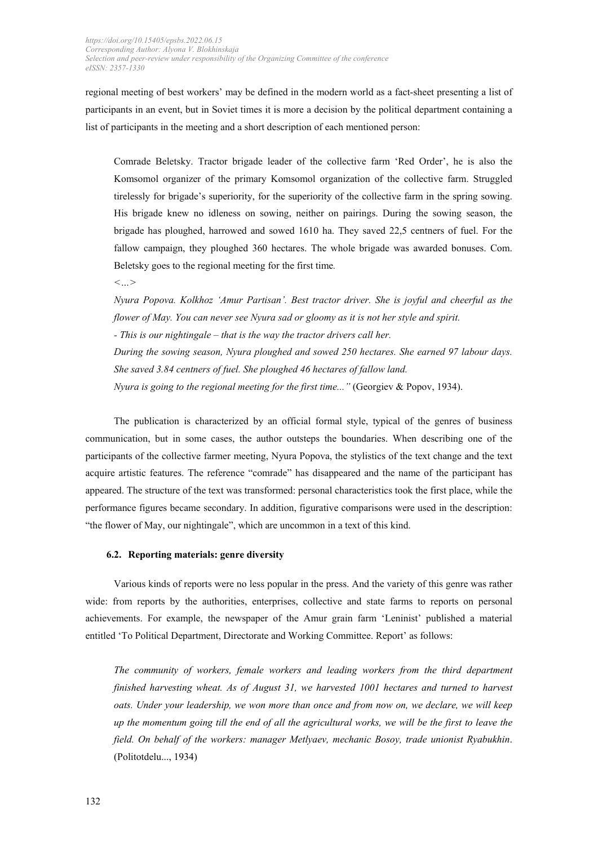regional meeting of best workers' may be defined in the modern world as a fact-sheet presenting a list of participants in an event, but in Soviet times it is more a decision by the political department containing a list of participants in the meeting and a short description of each mentioned person:

Comrade Beletsky. Tractor brigade leader of the collective farm 'Red Order', he is also the Komsomol organizer of the primary Komsomol organization of the collective farm. Struggled tirelessly for brigade's superiority, for the superiority of the collective farm in the spring sowing. His brigade knew no idleness on sowing, neither on pairings. During the sowing season, the brigade has ploughed, harrowed and sowed 1610 ha. They saved 22,5 centners of fuel. For the fallow campaign, they ploughed 360 hectares. The whole brigade was awarded bonuses. Com. Beletsky goes to the regional meeting for the first time*.* 

*<…>*

*Nyura Popova. Kolkhoz 'Amur Partisan'. Best tractor driver. She is joyful and cheerful as the flower of May. You can never see Nyura sad or gloomy as it is not her style and spirit. - This is our nightingale – that is the way the tractor drivers call her. During the sowing season, Nyura ploughed and sowed 250 hectares. She earned 97 labour days. She saved 3.84 centners of fuel. She ploughed 46 hectares of fallow land. Nyura is going to the regional meeting for the first time..."* (Georgiev & Popov, 1934).

The publication is characterized by an official formal style, typical of the genres of business communication, but in some cases, the author outsteps the boundaries. When describing one of the participants of the collective farmer meeting, Nyura Popova, the stylistics of the text change and the text acquire artistic features. The reference "comrade" has disappeared and the name of the participant has appeared. The structure of the text was transformed: personal characteristics took the first place, while the performance figures became secondary. In addition, figurative comparisons were used in the description: "the flower of May, our nightingale", which are uncommon in a text of this kind.

#### **6.2. Reporting materials: genre diversity**

Various kinds of reports were no less popular in the press. And the variety of this genre was rather wide: from reports by the authorities, enterprises, collective and state farms to reports on personal achievements. For example, the newspaper of the Amur grain farm 'Leninist' published a material entitled 'To Political Department, Directorate and Working Committee. Report' as follows:

*The community of workers, female workers and leading workers from the third department finished harvesting wheat. As of August 31, we harvested 1001 hectares and turned to harvest oats. Under your leadership, we won more than once and from now on, we declare, we will keep up the momentum going till the end of all the agricultural works, we will be the first to leave the field. On behalf of the workers: manager Metlyaev, mechanic Bosoy, trade unionist Ryabukhin*. (Politotdelu..., 1934)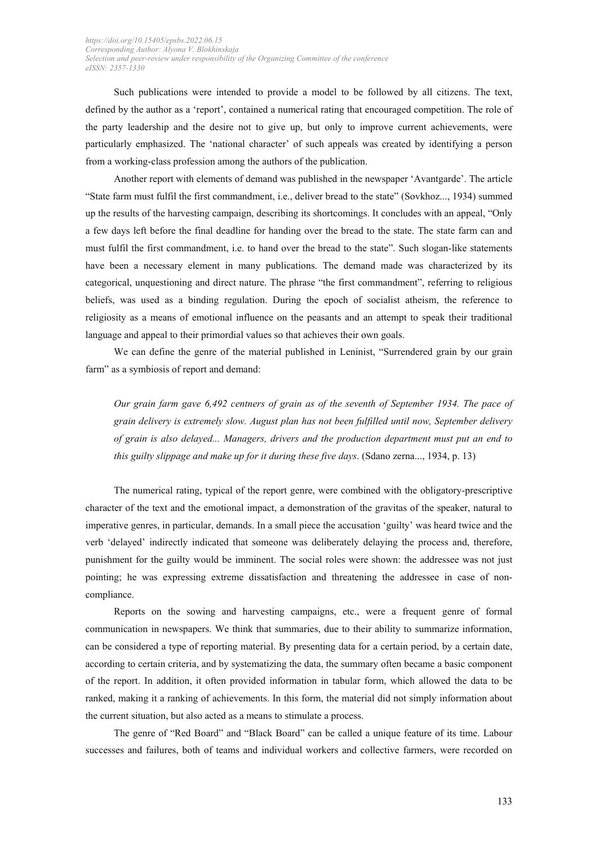Such publications were intended to provide a model to be followed by all citizens. The text, defined by the author as a 'report', contained a numerical rating that encouraged competition. The role of the party leadership and the desire not to give up, but only to improve current achievements, were particularly emphasized. The 'national character' of such appeals was created by identifying a person from a working-class profession among the authors of the publication.

Another report with elements of demand was published in the newspaper 'Avantgarde'. The article "State farm must fulfil the first commandment, i.e., deliver bread to the state" (Sovkhoz..., 1934) summed up the results of the harvesting campaign, describing its shortcomings. It concludes with an appeal, "Only a few days left before the final deadline for handing over the bread to the state. The state farm can and must fulfil the first commandment, i.e. to hand over the bread to the state". Such slogan-like statements have been a necessary element in many publications. The demand made was characterized by its categorical, unquestioning and direct nature. The phrase "the first commandment", referring to religious beliefs, was used as a binding regulation. During the epoch of socialist atheism, the reference to religiosity as a means of emotional influence on the peasants and an attempt to speak their traditional language and appeal to their primordial values so that achieves their own goals.

We can define the genre of the material published in Leninist, "Surrendered grain by our grain farm" as a symbiosis of report and demand:

*Our grain farm gave 6,492 centners of grain as of the seventh of September 1934. The pace of grain delivery is extremely slow. August plan has not been fulfilled until now, September delivery of grain is also delayed... Managers, drivers and the production department must put an end to this guilty slippage and make up for it during these five days*. (Sdano zerna..., 1934, p. 13)

The numerical rating, typical of the report genre, were combined with the obligatory-prescriptive character of the text and the emotional impact, a demonstration of the gravitas of the speaker, natural to imperative genres, in particular, demands. In a small piece the accusation 'guilty' was heard twice and the verb 'delayed' indirectly indicated that someone was deliberately delaying the process and, therefore, punishment for the guilty would be imminent. The social roles were shown: the addressee was not just pointing; he was expressing extreme dissatisfaction and threatening the addressee in case of noncompliance.

Reports on the sowing and harvesting campaigns, etc., were a frequent genre of formal communication in newspapers. We think that summaries, due to their ability to summarize information, can be considered a type of reporting material. By presenting data for a certain period, by a certain date, according to certain criteria, and by systematizing the data, the summary often became a basic component of the report. In addition, it often provided information in tabular form, which allowed the data to be ranked, making it a ranking of achievements. In this form, the material did not simply information about the current situation, but also acted as a means to stimulate a process.

The genre of "Red Board" and "Black Board" can be called a unique feature of its time. Labour successes and failures, both of teams and individual workers and collective farmers, were recorded on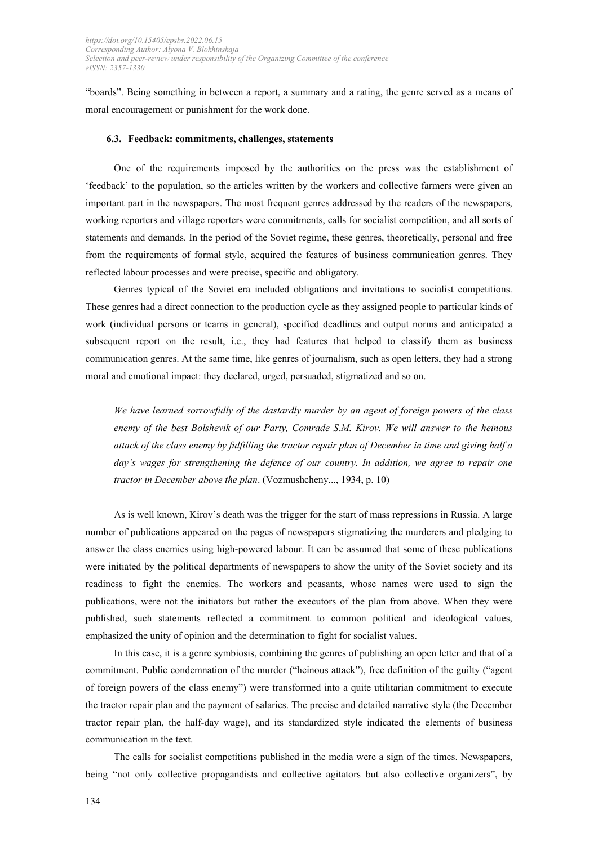"boards". Being something in between a report, a summary and a rating, the genre served as a means of moral encouragement or punishment for the work done.

#### **6.3. Feedback: commitments, challenges, statements**

One of the requirements imposed by the authorities on the press was the establishment of 'feedback' to the population, so the articles written by the workers and collective farmers were given an important part in the newspapers. The most frequent genres addressed by the readers of the newspapers, working reporters and village reporters were commitments, calls for socialist competition, and all sorts of statements and demands. In the period of the Soviet regime, these genres, theoretically, personal and free from the requirements of formal style, acquired the features of business communication genres. They reflected labour processes and were precise, specific and obligatory.

Genres typical of the Soviet era included obligations and invitations to socialist competitions. These genres had a direct connection to the production cycle as they assigned people to particular kinds of work (individual persons or teams in general), specified deadlines and output norms and anticipated a subsequent report on the result, i.e., they had features that helped to classify them as business communication genres. At the same time, like genres of journalism, such as open letters, they had a strong moral and emotional impact: they declared, urged, persuaded, stigmatized and so on.

*We have learned sorrowfully of the dastardly murder by an agent of foreign powers of the class enemy of the best Bolshevik of our Party, Comrade S.M. Kirov. We will answer to the heinous attack of the class enemy by fulfilling the tractor repair plan of December in time and giving half a day's wages for strengthening the defence of our country. In addition, we agree to repair one tractor in December above the plan*. (Vozmushcheny..., 1934, p. 10)

As is well known, Kirov's death was the trigger for the start of mass repressions in Russia. A large number of publications appeared on the pages of newspapers stigmatizing the murderers and pledging to answer the class enemies using high-powered labour. It can be assumed that some of these publications were initiated by the political departments of newspapers to show the unity of the Soviet society and its readiness to fight the enemies. The workers and peasants, whose names were used to sign the publications, were not the initiators but rather the executors of the plan from above. When they were published, such statements reflected a commitment to common political and ideological values, emphasized the unity of opinion and the determination to fight for socialist values.

In this case, it is a genre symbiosis, combining the genres of publishing an open letter and that of a commitment. Public condemnation of the murder ("heinous attack"), free definition of the guilty ("agent of foreign powers of the class enemy") were transformed into a quite utilitarian commitment to execute the tractor repair plan and the payment of salaries. The precise and detailed narrative style (the December tractor repair plan, the half-day wage), and its standardized style indicated the elements of business communication in the text.

The calls for socialist competitions published in the media were a sign of the times. Newspapers, being "not only collective propagandists and collective agitators but also collective organizers", by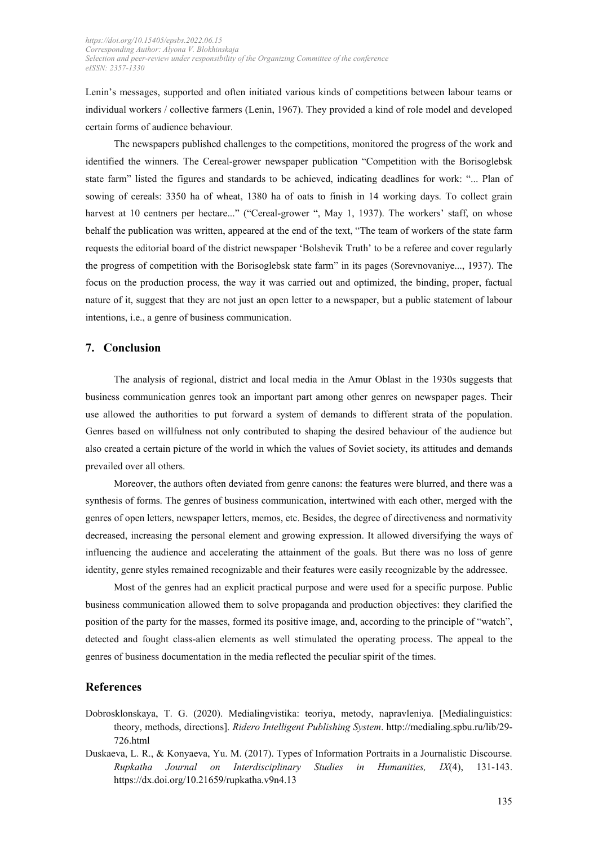Lenin's messages, supported and often initiated various kinds of competitions between labour teams or individual workers / collective farmers (Lenin, 1967). They provided a kind of role model and developed certain forms of audience behaviour.

The newspapers published challenges to the competitions, monitored the progress of the work and identified the winners. The Cereal-grower newspaper publication "Competition with the Borisoglebsk state farm" listed the figures and standards to be achieved, indicating deadlines for work: "... Plan of sowing of cereals: 3350 ha of wheat, 1380 ha of oats to finish in 14 working days. To collect grain harvest at 10 centners per hectare..." ("Cereal-grower ", May 1, 1937). The workers' staff, on whose behalf the publication was written, appeared at the end of the text, "The team of workers of the state farm requests the editorial board of the district newspaper 'Bolshevik Truth' to be a referee and cover regularly the progress of competition with the Borisoglebsk state farm" in its pages (Sorevnovaniye..., 1937). The focus on the production process, the way it was carried out and optimized, the binding, proper, factual nature of it, suggest that they are not just an open letter to a newspaper, but a public statement of labour intentions, i.e., a genre of business communication.

#### **7. Conclusion**

The analysis of regional, district and local media in the Amur Oblast in the 1930s suggests that business communication genres took an important part among other genres on newspaper pages. Their use allowed the authorities to put forward a system of demands to different strata of the population. Genres based on willfulness not only contributed to shaping the desired behaviour of the audience but also created a certain picture of the world in which the values of Soviet society, its attitudes and demands prevailed over all others.

Moreover, the authors often deviated from genre canons: the features were blurred, and there was a synthesis of forms. The genres of business communication, intertwined with each other, merged with the genres of open letters, newspaper letters, memos, etc. Besides, the degree of directiveness and normativity decreased, increasing the personal element and growing expression. It allowed diversifying the ways of influencing the audience and accelerating the attainment of the goals. But there was no loss of genre identity, genre styles remained recognizable and their features were easily recognizable by the addressee.

Most of the genres had an explicit practical purpose and were used for a specific purpose. Public business communication allowed them to solve propaganda and production objectives: they clarified the position of the party for the masses, formed its positive image, and, according to the principle of "watch", detected and fought class-alien elements as well stimulated the operating process. The appeal to the genres of business documentation in the media reflected the peculiar spirit of the times.

## **References**

- Dobrosklonskaya, T. G. (2020). Medialingvistika: teoriya, metody, napravleniya. [Medialinguistics: theory, methods, directions]. *Ridero Intelligent Publishing System*. [http://medialing.spbu.ru/lib/29-](http://medialing.spbu.ru/lib/29-726.html) [726.html](http://medialing.spbu.ru/lib/29-726.html)
- Duskaeva, L. R., & Konyaeva, Yu. M. (2017). Types of Information Portraits in a Journalistic Discourse. *Rupkatha Journal on Interdisciplinary Studies in Humanities, IX*(4), 131-143. <https://dx.doi.org/10.21659/rupkatha.v9n4.13>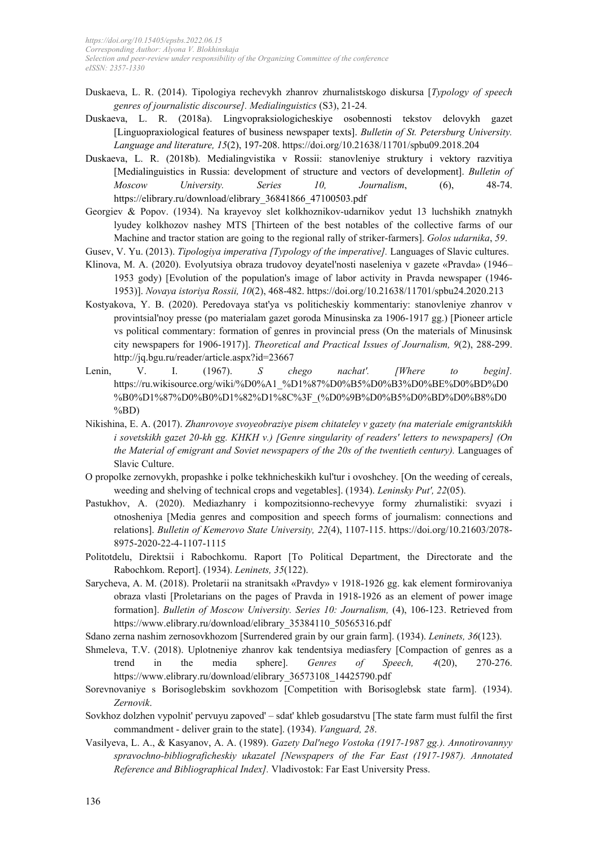- Duskaeva, L. R. (2014). Tipologiya rechevykh zhanrov zhurnalistskogo diskursa [*Typology of speech genres of journalistic discourse]. Medialinguistics* (S3), 21-24*.*
- Duskaeva, L. R. (2018a). Lingvopraksiologicheskiye osobennosti tekstov delovykh gazet [Linguopraxiological features of business newspaper texts]. *Bulletin of St. Petersburg University. Language and literature, 15*(2), 197-208. https://doi.org/10.21638/11701/spbu09.2018.204
- Duskaeva, L. R. (2018b). Medialingvistika v Rossii: stanovleniye struktury i vektory razvitiya [Medialinguistics in Russia: development of structure and vectors of development]. *Bulletin of Moscow University. Series 10, Journalism*, (6), 48-74. https://elibrary.ru/download/elibrary\_36841866\_47100503.pdf
- Georgiev & Popov. (1934). Na krayevoy slet kolkhoznikov-udarnikov yedut 13 luchshikh znatnykh lyudey kolkhozov nashey MTS [Thirteen of the best notables of the collective farms of our Machine and tractor station are going to the regional rally of striker-farmers]. *Golos udarnika*, *59*.
- Gusev, V. Yu. (2013). *Tipologiya imperativa [Typology of the imperative].* Languages of Slavic cultures.
- Klinova, M. A. (2020). Evolyutsiya obraza trudovoy deyatel'nosti naseleniya v gazete «Pravda» (1946– 1953 gody) [Evolution of the population's image of labor activity in Pravda newspaper (1946- 1953)]. *Novaya istoriya Rossii, 10*(2), 468-482. https://doi.org/10.21638/11701/spbu24.2020.213
- Kostyakova, Y. B. (2020). Peredovaya stat'ya vs politicheskiy kommentariy: stanovleniye zhanrov v provintsial'noy presse (po materialam gazet goroda Minusinska za 1906-1917 gg.) [Pioneer article vs political commentary: formation of genres in provincial press (On the materials of Minusinsk city newspapers for 1906-1917)]. *Theoretical and Practical Issues of Journalism, 9*(2), 288-299. http://jq.bgu.ru/reader/article.aspx?id=23667
- Lenin, V. I. (1967). *S chego nachat'. [Where to begin].* https://ru.wikisource.org/wiki/%D0%A1\_%D1%87%D0%B5%D0%B3%D0%BE%D0%BD%D0 %B0%D1%87%D0%B0%D1%82%D1%8C%3F\_(%D0%9B%D0%B5%D0%BD%D0%B8%D0 %BD)
- Nikishina, E. A. (2017). *Zhanrovoye svoyeobraziye pisem chitateley v gazety (na materiale emigrantskikh i sovetskikh gazet 20-kh gg. KHKH v.) [Genre singularity of readers' letters to newspapers] (On the Material of emigrant and Soviet newspapers of the 20s of the twentieth century).* Languages of Slavic Culture.
- O propolke zernovykh, propashke i polke tekhnicheskikh kul'tur i ovoshchey. [On the weeding of cereals, weeding and shelving of technical crops and vegetables]. (1934). *Leninsky Put', 22*(05).
- Pastukhov, A. (2020). Mediazhanry i kompozitsionno-rechevyye formy zhurnalistiki: svyazi i otnosheniya [Media genres and composition and speech forms of journalism: connections and relations]. *Bulletin of Kemerovo State University, 22*(4), 1107-115. https://doi.org/10.21603/2078- 8975-2020-22-4-1107-1115
- Politotdelu, Direktsii i Rabochkomu. Raport [To Political Department, the Directorate and the Rabochkom. Report]. (1934). *Leninets, 35*(122).
- Sarycheva, A. M. (2018). Proletarii na stranitsakh «Pravdy» v 1918-1926 gg. kak element formirovaniya obraza vlasti [Proletarians on the pages of Pravda in 1918-1926 as an element of power image formation]. *Bulletin of Moscow University. Series 10: Journalism,* (4), 106-123. Retrieved from https://www.elibrary.ru/download/elibrary\_35384110\_50565316.pdf
- Sdano zerna nashim zernosovkhozom [Surrendered grain by our grain farm]. (1934). *Leninets, 36*(123).
- Shmeleva, T.V. (2018). Uplotneniye zhanrov kak tendentsiya mediasfery [Compaction of genres as a trend in the media sphere]. *Genres of Speech, 4*(20), 270-276. https://www.elibrary.ru/download/elibrary\_36573108\_14425790.pdf
- Sorevnovaniye s Borisoglebskim sovkhozom [Competition with Borisoglebsk state farm]. (1934). *Zernovik*.
- Sovkhoz dolzhen vypolnit' pervuyu zapoved' sdat' khleb gosudarstvu [The state farm must fulfil the first commandment - deliver grain to the state]. (1934). *Vanguard, 28*.
- Vasilyeva, L. A., & Kasyanov, A. A. (1989). *Gazety Dal'nego Vostoka (1917-1987 gg.). Annotirovannyy spravochno-bibliograficheskiy ukazatel [Newspapers of the Far East (1917-1987). Annotated Reference and Bibliographical Index].* Vladivostok: Far East University Press.